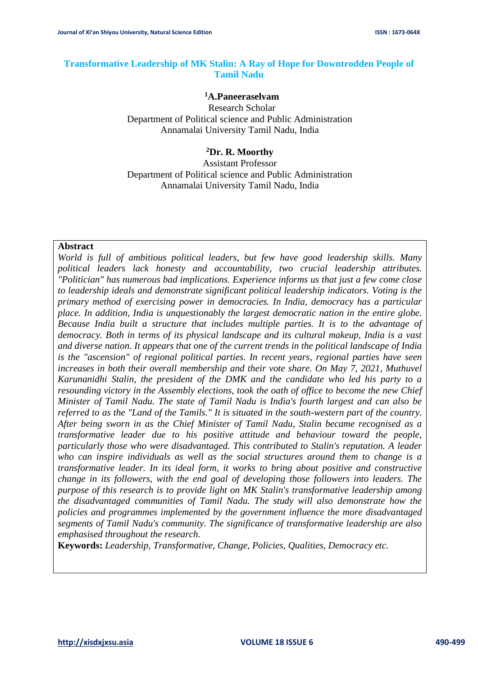## **Transformative Leadership of MK Stalin: A Ray of Hope for Downtrodden People of Tamil Nadu**

#### **<sup>1</sup>A.Paneeraselvam**

Research Scholar Department of Political science and Public Administration Annamalai University Tamil Nadu, India

#### **<sup>2</sup>Dr. R. Moorthy**

Assistant Professor Department of Political science and Public Administration Annamalai University Tamil Nadu, India

#### **Abstract**

*World is full of ambitious political leaders, but few have good leadership skills. Many political leaders lack honesty and accountability, two crucial leadership attributes. "Politician" has numerous bad implications. Experience informs us that just a few come close to leadership ideals and demonstrate significant political leadership indicators. Voting is the primary method of exercising power in democracies. In India, democracy has a particular place. In addition, India is unquestionably the largest democratic nation in the entire globe. Because India built a structure that includes multiple parties. It is to the advantage of democracy. Both in terms of its physical landscape and its cultural makeup, India is a vast and diverse nation. It appears that one of the current trends in the political landscape of India is the "ascension" of regional political parties. In recent years, regional parties have seen increases in both their overall membership and their vote share. On May 7, 2021, Muthuvel Karunanidhi Stalin, the president of the DMK and the candidate who led his party to a resounding victory in the Assembly elections, took the oath of office to become the new Chief Minister of Tamil Nadu. The state of Tamil Nadu is India's fourth largest and can also be referred to as the "Land of the Tamils." It is situated in the south-western part of the country. After being sworn in as the Chief Minister of Tamil Nadu, Stalin became recognised as a transformative leader due to his positive attitude and behaviour toward the people, particularly those who were disadvantaged. This contributed to Stalin's reputation. A leader who can inspire individuals as well as the social structures around them to change is a transformative leader. In its ideal form, it works to bring about positive and constructive change in its followers, with the end goal of developing those followers into leaders. The purpose of this research is to provide light on MK Stalin's transformative leadership among the disadvantaged communities of Tamil Nadu. The study will also demonstrate how the policies and programmes implemented by the government influence the more disadvantaged segments of Tamil Nadu's community. The significance of transformative leadership are also emphasised throughout the research.*

**Keywords:** *Leadership, Transformative, Change, Policies, Qualities, Democracy etc.*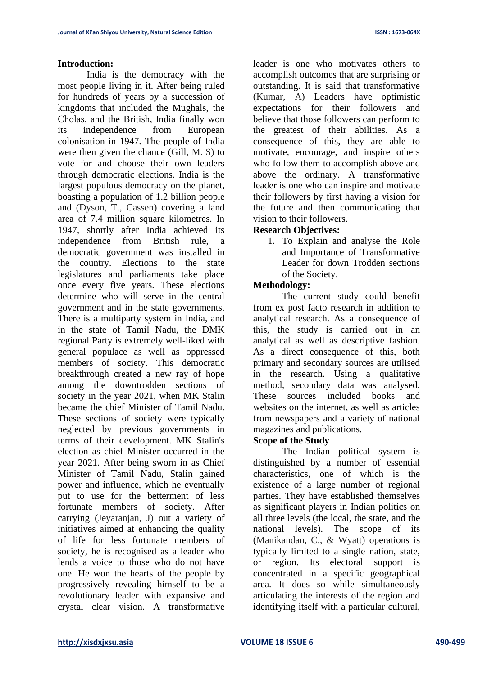#### **Introduction:**

India is the democracy with the most people living in it. After being ruled for hundreds of years by a succession of kingdoms that included the Mughals, the Cholas, and the British, India finally won its independence from European colonisation in 1947. The people of India were then given the chance (Gill, M. S) to vote for and choose their own leaders through democratic elections. India is the largest populous democracy on the planet, boasting a population of 1.2 billion people and (Dyson, T., Cassen) covering a land area of 7.4 million square kilometres. In 1947, shortly after India achieved its independence from British rule, a democratic government was installed in the country. Elections to the state legislatures and parliaments take place once every five years. These elections determine who will serve in the central government and in the state governments. There is a multiparty system in India, and in the state of Tamil Nadu, the DMK regional Party is extremely well-liked with general populace as well as oppressed members of society. This democratic breakthrough created a new ray of hope among the downtrodden sections of society in the year 2021, when MK Stalin became the chief Minister of Tamil Nadu. These sections of society were typically neglected by previous governments in terms of their development. MK Stalin's election as chief Minister occurred in the year 2021. After being sworn in as Chief Minister of Tamil Nadu, Stalin gained power and influence, which he eventually put to use for the betterment of less fortunate members of society. After carrying (Jeyaranjan, J) out a variety of initiatives aimed at enhancing the quality of life for less fortunate members of society, he is recognised as a leader who lends a voice to those who do not have one. He won the hearts of the people by progressively revealing himself to be a revolutionary leader with expansive and crystal clear vision. A transformative leader is one who motivates others to accomplish outcomes that are surprising or outstanding. It is said that transformative (Kumar, A) Leaders have optimistic expectations for their followers and believe that those followers can perform to the greatest of their abilities. As a consequence of this, they are able to motivate, encourage, and inspire others who follow them to accomplish above and above the ordinary. A transformative leader is one who can inspire and motivate their followers by first having a vision for the future and then communicating that vision to their followers.

# **Research Objectives:**

1. To Explain and analyse the Role and Importance of Transformative Leader for down Trodden sections of the Society.

# **Methodology:**

The current study could benefit from ex post facto research in addition to analytical research. As a consequence of this, the study is carried out in an analytical as well as descriptive fashion. As a direct consequence of this, both primary and secondary sources are utilised in the research. Using a qualitative method, secondary data was analysed. These sources included books and websites on the internet, as well as articles from newspapers and a variety of national magazines and publications.

## **Scope of the Study**

The Indian political system is distinguished by a number of essential characteristics, one of which is the existence of a large number of regional parties. They have established themselves as significant players in Indian politics on all three levels (the local, the state, and the national levels). The scope of its (Manikandan, C., & Wyatt) operations is typically limited to a single nation, state, or region. Its electoral support is concentrated in a specific geographical area. It does so while simultaneously articulating the interests of the region and identifying itself with a particular cultural,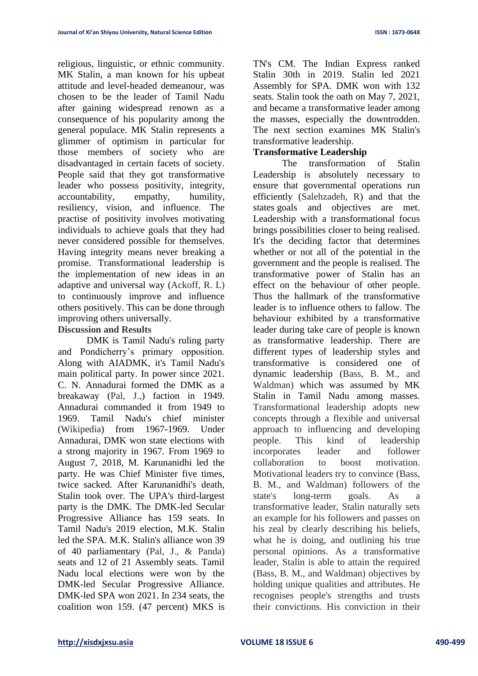religious, linguistic, or ethnic community. MK Stalin, a man known for his upbeat attitude and level-headed demeanour, was chosen to be the leader of Tamil Nadu after gaining widespread renown as a consequence of his popularity among the general populace. MK Stalin represents a glimmer of optimism in particular for those members of society who are disadvantaged in certain facets of society. People said that they got transformative leader who possess positivity, integrity, accountability, empathy, humility, resiliency, vision, and influence. The practise of positivity involves motivating individuals to achieve goals that they had never considered possible for themselves. Having integrity means never breaking a promise. Transformational leadership is the implementation of new ideas in an adaptive and universal way (Ackoff, R. L) to continuously improve and influence others positively. This can be done through improving others universally.

### **Discussion and Results**

DMK is Tamil Nadu's ruling party and Pondicherry's primary opposition. Along with AIADMK, it's Tamil Nadu's main political party. In power since 2021. C. N. Annadurai formed the DMK as a breakaway (Pal, J.,) faction in 1949. Annadurai commanded it from 1949 to 1969. Tamil Nadu's chief minister (Wikipedia) from 1967-1969. Under Annadurai, DMK won state elections with a strong majority in 1967. From 1969 to August 7, 2018, M. Karunanidhi led the party. He was Chief Minister five times, twice sacked. After Karunanidhi's death, Stalin took over. The UPA's third-largest party is the DMK. The DMK-led Secular Progressive Alliance has 159 seats. In Tamil Nadu's 2019 election, M.K. Stalin led the SPA. M.K. Stalin's alliance won 39 of 40 parliamentary (Pal, J., & Panda) seats and 12 of 21 Assembly seats. Tamil Nadu local elections were won by the DMK-led Secular Progressive Alliance. DMK-led SPA won 2021. In 234 seats, the coalition won 159. (47 percent) MKS is

TN's CM. The Indian Express ranked Stalin 30th in 2019. Stalin led 2021 Assembly for SPA. DMK won with 132 seats. Stalin took the oath on May 7, 2021, and became a transformative leader among the masses, especially the downtrodden. The next section examines MK Stalin's transformative leadership.

## **Transformative Leadership**

The transformation of Stalin Leadership is absolutely necessary to ensure that governmental operations run efficiently (Salehzadeh, R) and that the states goals and objectives are met. Leadership with a transformational focus brings possibilities closer to being realised. It's the deciding factor that determines whether or not all of the potential in the government and the people is realised. The transformative power of Stalin has an effect on the behaviour of other people. Thus the hallmark of the transformative leader is to influence others to fallow. The behaviour exhibited by a transformative leader during take care of people is known as transformative leadership. There are different types of leadership styles and transformative is considered one of dynamic leadership (Bass, B. M., and Waldman) which was assumed by MK Stalin in Tamil Nadu among masses. Transformational leadership adopts new concepts through a flexible and universal approach to influencing and developing people. This kind of leadership incorporates leader and follower collaboration to boost motivation. Motivational leaders try to convince (Bass, B. M., and Waldman) followers of the state's long-term goals. As a transformative leader, Stalin naturally sets an example for his followers and passes on his zeal by clearly describing his beliefs, what he is doing, and outlining his true personal opinions. As a transformative leader, Stalin is able to attain the required (Bass, B. M., and Waldman) objectives by holding unique qualities and attributes. He recognises people's strengths and trusts their convictions. His conviction in their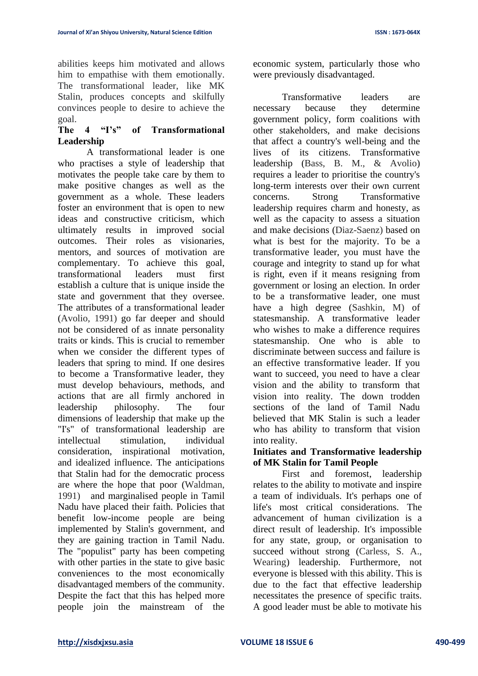abilities keeps him motivated and allows him to empathise with them emotionally. The transformational leader, like MK Stalin, produces concepts and skilfully convinces people to desire to achieve the goal.

# **The 4 "I's" of Transformational Leadership**

A transformational leader is one who practises a style of leadership that motivates the people take care by them to make positive changes as well as the government as a whole. These leaders foster an environment that is open to new ideas and constructive criticism, which ultimately results in improved social outcomes. Their roles as visionaries, mentors, and sources of motivation are complementary. To achieve this goal, transformational leaders must first establish a culture that is unique inside the state and government that they oversee. The attributes of a transformational leader (Avolio, 1991) go far deeper and should not be considered of as innate personality traits or kinds. This is crucial to remember when we consider the different types of leaders that spring to mind. If one desires to become a Transformative leader, they must develop behaviours, methods, and actions that are all firmly anchored in leadership philosophy. The four dimensions of leadership that make up the "I's" of transformational leadership are intellectual stimulation, individual consideration, inspirational motivation, and idealized influence. The anticipations that Stalin had for the democratic process are where the hope that poor (Waldman, 1991) and marginalised people in Tamil Nadu have placed their faith. Policies that benefit low-income people are being implemented by Stalin's government, and they are gaining traction in Tamil Nadu. The "populist" party has been competing with other parties in the state to give basic conveniences to the most economically disadvantaged members of the community. Despite the fact that this has helped more people join the mainstream of the

economic system, particularly those who were previously disadvantaged.

Transformative leaders are necessary because they determine government policy, form coalitions with other stakeholders, and make decisions that affect a country's well-being and the lives of its citizens. Transformative leadership (Bass, B. M., & Avolio) requires a leader to prioritise the country's long-term interests over their own current concerns. Strong Transformative leadership requires charm and honesty, as well as the capacity to assess a situation and make decisions (Diaz-Saenz) based on what is best for the majority. To be a transformative leader, you must have the courage and integrity to stand up for what is right, even if it means resigning from government or losing an election. In order to be a transformative leader, one must have a high degree (Sashkin, M) of statesmanship. A transformative leader who wishes to make a difference requires statesmanship. One who is able to discriminate between success and failure is an effective transformative leader. If you want to succeed, you need to have a clear vision and the ability to transform that vision into reality. The down trodden sections of the land of Tamil Nadu believed that MK Stalin is such a leader who has ability to transform that vision into reality.

## **Initiates and Transformative leadership of MK Stalin for Tamil People**

First and foremost, leadership relates to the ability to motivate and inspire a team of individuals. It's perhaps one of life's most critical considerations. The advancement of human civilization is a direct result of leadership. It's impossible for any state, group, or organisation to succeed without strong (Carless, S. A., Wearing) leadership. Furthermore, not everyone is blessed with this ability. This is due to the fact that effective leadership necessitates the presence of specific traits. A good leader must be able to motivate his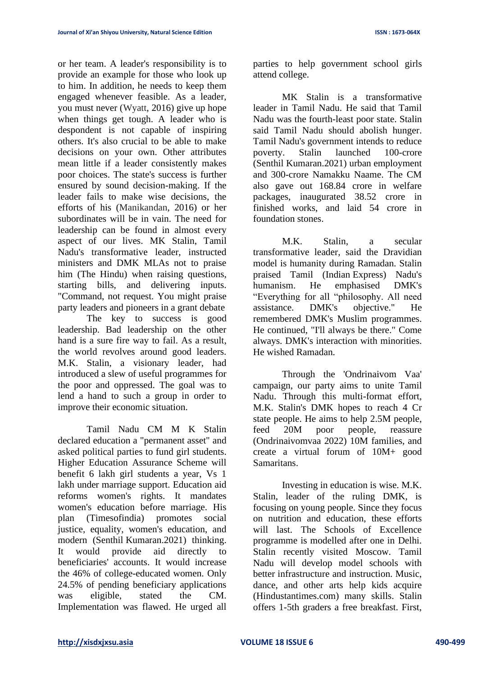or her team. A leader's responsibility is to provide an example for those who look up to him. In addition, he needs to keep them engaged whenever feasible. As a leader, you must never (Wyatt, 2016) give up hope when things get tough. A leader who is despondent is not capable of inspiring others. It's also crucial to be able to make decisions on your own. Other attributes mean little if a leader consistently makes poor choices. The state's success is further ensured by sound decision-making. If the leader fails to make wise decisions, the efforts of his (Manikandan, 2016) or her subordinates will be in vain. The need for leadership can be found in almost every aspect of our lives. MK Stalin, Tamil Nadu's transformative leader, instructed ministers and DMK MLAs not to praise him (The Hindu) when raising questions, starting bills, and delivering inputs. "Command, not request. You might praise party leaders and pioneers in a grant debate

The key to success is good leadership. Bad leadership on the other hand is a sure fire way to fail. As a result, the world revolves around good leaders. M.K. Stalin, a visionary leader, had introduced a slew of useful programmes for the poor and oppressed. The goal was to lend a hand to such a group in order to improve their economic situation.

Tamil Nadu CM M K Stalin declared education a "permanent asset" and asked political parties to fund girl students. Higher Education Assurance Scheme will benefit 6 lakh girl students a year, Vs 1 lakh under marriage support. Education aid reforms women's rights. It mandates women's education before marriage. His plan (Timesofindia) promotes social justice, equality, women's education, and modern (Senthil Kumaran.2021) thinking. It would provide aid directly to beneficiaries' accounts. It would increase the 46% of college-educated women. Only 24.5% of pending beneficiary applications was eligible, stated the CM. Implementation was flawed. He urged all

parties to help government school girls attend college.

MK Stalin is a transformative leader in Tamil Nadu. He said that Tamil Nadu was the fourth-least poor state. Stalin said Tamil Nadu should abolish hunger. Tamil Nadu's government intends to reduce poverty. Stalin launched 100-crore (Senthil Kumaran.2021) urban employment and 300-crore Namakku Naame. The CM also gave out 168.84 crore in welfare packages, inaugurated 38.52 crore in finished works, and laid 54 crore in foundation stones.

M.K. Stalin, a secular transformative leader, said the Dravidian model is humanity during Ramadan. Stalin praised Tamil (Indian Express) Nadu's humanism. He emphasised DMK's "Everything for all "philosophy. All need assistance. DMK's objective." He remembered DMK's Muslim programmes. He continued, "I'll always be there." Come always. DMK's interaction with minorities. He wished Ramadan.

Through the 'Ondrinaivom Vaa' campaign, our party aims to unite Tamil Nadu. Through this multi-format effort, M.K. Stalin's DMK hopes to reach 4 Cr state people. He aims to help 2.5M people, feed 20M poor people, reassure (Ondrinaivomvaa 2022) 10M families, and create a virtual forum of 10M+ good Samaritans.

Investing in education is wise. M.K. Stalin, leader of the ruling DMK, is focusing on young people. Since they focus on nutrition and education, these efforts will last. The Schools of Excellence programme is modelled after one in Delhi. Stalin recently visited Moscow. Tamil Nadu will develop model schools with better infrastructure and instruction. Music, dance, and other arts help kids acquire (Hindustantimes.com) many skills. Stalin offers 1-5th graders a free breakfast. First,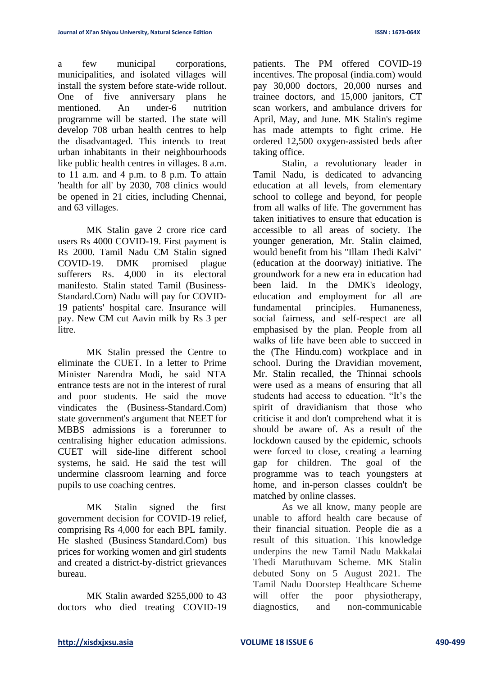a few municipal corporations, municipalities, and isolated villages will install the system before state-wide rollout. One of five anniversary plans he mentioned. An under-6 nutrition programme will be started. The state will develop 708 urban health centres to help the disadvantaged. This intends to treat urban inhabitants in their neighbourhoods like public health centres in villages. 8 a.m. to 11 a.m. and 4 p.m. to 8 p.m. To attain 'health for all' by 2030, 708 clinics would be opened in 21 cities, including Chennai, and 63 villages.

MK Stalin gave 2 crore rice card users Rs 4000 COVID-19. First payment is Rs 2000. Tamil Nadu CM Stalin signed COVID-19. DMK promised plague sufferers Rs. 4,000 in its electoral manifesto. Stalin stated Tamil (Business-Standard.Com) Nadu will pay for COVID-19 patients' hospital care. Insurance will pay. New CM cut Aavin milk by Rs 3 per litre.

MK Stalin pressed the Centre to eliminate the CUET. In a letter to Prime Minister Narendra Modi, he said NTA entrance tests are not in the interest of rural and poor students. He said the move vindicates the (Business-Standard.Com) state government's argument that NEET for MBBS admissions is a forerunner to centralising higher education admissions. CUET will side-line different school systems, he said. He said the test will undermine classroom learning and force pupils to use coaching centres.

MK Stalin signed the first government decision for COVID-19 relief, comprising Rs 4,000 for each BPL family. He slashed (Business Standard.Com) bus prices for working women and girl students and created a district-by-district grievances bureau.

MK Stalin awarded \$255,000 to 43 doctors who died treating COVID-19 patients. The PM offered COVID-19 incentives. The proposal (india.com) would pay 30,000 doctors, 20,000 nurses and trainee doctors, and 15,000 janitors, CT scan workers, and ambulance drivers for April, May, and June. MK Stalin's regime has made attempts to fight crime. He ordered 12,500 oxygen-assisted beds after taking office.

Stalin, a revolutionary leader in Tamil Nadu, is dedicated to advancing education at all levels, from elementary school to college and beyond, for people from all walks of life. The government has taken initiatives to ensure that education is accessible to all areas of society. The younger generation, Mr. Stalin claimed, would benefit from his "Illam Thedi Kalvi" (education at the doorway) initiative. The groundwork for a new era in education had been laid. In the DMK's ideology, education and employment for all are fundamental principles. Humaneness, social fairness, and self-respect are all emphasised by the plan. People from all walks of life have been able to succeed in the (The Hindu.com) workplace and in school. During the Dravidian movement, Mr. Stalin recalled, the Thinnai schools were used as a means of ensuring that all students had access to education. "It's the spirit of dravidianism that those who criticise it and don't comprehend what it is should be aware of. As a result of the lockdown caused by the epidemic, schools were forced to close, creating a learning gap for children. The goal of the programme was to teach youngsters at home, and in-person classes couldn't be matched by online classes.

As we all know, many people are unable to afford health care because of their financial situation. People die as a result of this situation. This knowledge underpins the new Tamil Nadu Makkalai Thedi Maruthuvam Scheme. MK Stalin debuted Sony on 5 August 2021. The Tamil Nadu Doorstep Healthcare Scheme will offer the poor physiotherapy, diagnostics, and non-communicable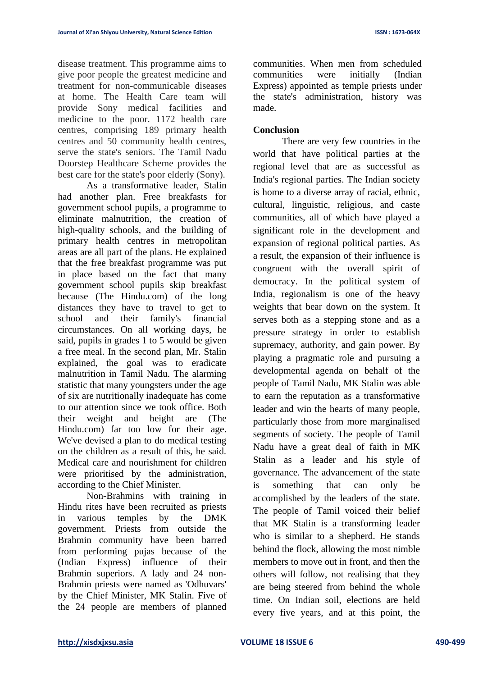disease treatment. This programme aims to give poor people the greatest medicine and treatment for non-communicable diseases at home. The Health Care team will provide Sony medical facilities and medicine to the poor. 1172 health care centres, comprising 189 primary health centres and 50 community health centres, serve the state's seniors. The Tamil Nadu Doorstep Healthcare Scheme provides the best care for the state's poor elderly (Sony).

As a transformative leader, Stalin had another plan. Free breakfasts for government school pupils, a programme to eliminate malnutrition, the creation of high-quality schools, and the building of primary health centres in metropolitan areas are all part of the plans. He explained that the free breakfast programme was put in place based on the fact that many government school pupils skip breakfast because (The Hindu.com) of the long distances they have to travel to get to school and their family's financial circumstances. On all working days, he said, pupils in grades 1 to 5 would be given a free meal. In the second plan, Mr. Stalin explained, the goal was to eradicate malnutrition in Tamil Nadu. The alarming statistic that many youngsters under the age of six are nutritionally inadequate has come to our attention since we took office. Both their weight and height are (The Hindu.com) far too low for their age. We've devised a plan to do medical testing on the children as a result of this, he said. Medical care and nourishment for children were prioritised by the administration, according to the Chief Minister.

Non-Brahmins with training in Hindu rites have been recruited as priests in various temples by the DMK government. Priests from outside the Brahmin community have been barred from performing pujas because of the (Indian Express) influence of their Brahmin superiors. A lady and 24 non-Brahmin priests were named as 'Odhuvars' by the Chief Minister, MK Stalin. Five of the 24 people are members of planned

communities. When men from scheduled communities were initially (Indian Express) appointed as temple priests under the state's administration, history was made.

#### **Conclusion**

There are very few countries in the world that have political parties at the regional level that are as successful as India's regional parties. The Indian society is home to a diverse array of racial, ethnic, cultural, linguistic, religious, and caste communities, all of which have played a significant role in the development and expansion of regional political parties. As a result, the expansion of their influence is congruent with the overall spirit of democracy. In the political system of India, regionalism is one of the heavy weights that bear down on the system. It serves both as a stepping stone and as a pressure strategy in order to establish supremacy, authority, and gain power. By playing a pragmatic role and pursuing a developmental agenda on behalf of the people of Tamil Nadu, MK Stalin was able to earn the reputation as a transformative leader and win the hearts of many people, particularly those from more marginalised segments of society. The people of Tamil Nadu have a great deal of faith in MK Stalin as a leader and his style of governance. The advancement of the state is something that can only be accomplished by the leaders of the state. The people of Tamil voiced their belief that MK Stalin is a transforming leader who is similar to a shepherd. He stands behind the flock, allowing the most nimble members to move out in front, and then the others will follow, not realising that they are being steered from behind the whole time. On Indian soil, elections are held every five years, and at this point, the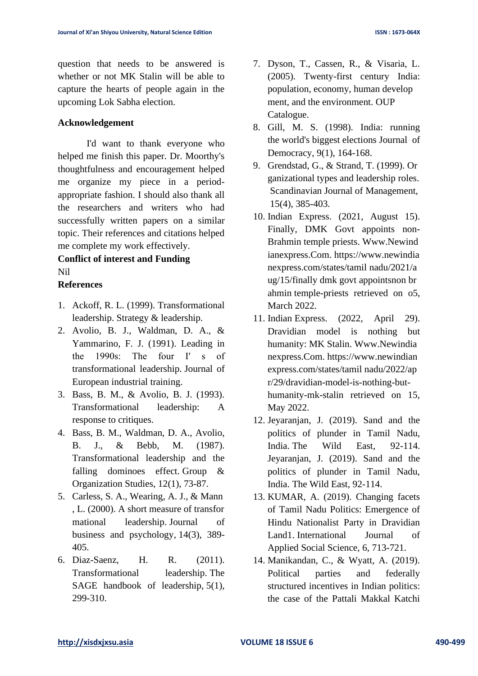question that needs to be answered is whether or not MK Stalin will be able to capture the hearts of people again in the upcoming Lok Sabha election.

#### **Acknowledgement**

I'd want to thank everyone who helped me finish this paper. Dr. Moorthy's thoughtfulness and encouragement helped me organize my piece in a periodappropriate fashion. I should also thank all the researchers and writers who had successfully written papers on a similar topic. Their references and citations helped me complete my work effectively.

# **Conflict of interest and Funding** Nil

#### **References**

- 1. Ackoff, R. L. (1999). Transformational leadership. Strategy & leadership.
- 2. Avolio, B. J., Waldman, D. A., & Yammarino, F. J. (1991). Leading in the 1990s: The four I′ s of transformational leadership. Journal of European industrial training.
- 3. Bass, B. M., & Avolio, B. J. (1993). Transformational leadership: A response to critiques.
- 4. Bass, B. M., Waldman, D. A., Avolio, B. J., & Bebb, M. (1987). Transformational leadership and the falling dominoes effect. Group & Organization Studies, 12(1), 73-87.
- 5. Carless, S. A., Wearing, A. J., & Mann , L. (2000). A short measure of transfor mational leadership. Journal of business and psychology, 14(3), 389- 405.
- 6. Diaz-Saenz, H. R. (2011). Transformational leadership. The SAGE handbook of leadership, 5(1), 299-310.
- 7. Dyson, T., Cassen, R., & Visaria, L. (2005). Twenty-first century India: population, economy, human develop ment, and the environment. OUP Catalogue.
- 8. Gill, M. S. (1998). India: running the world's biggest elections Journal of Democracy, 9(1), 164-168.
- 9. Grendstad, G., & Strand, T. (1999). Or ganizational types and leadership roles. Scandinavian Journal of Management, 15(4), 385-403.
- 10. Indian Express. (2021, August 15). Finally, DMK Govt appoints non-Brahmin temple priests. [Www.Newind](http://www.newindianexpress.com/) [ianexpress.Com.](http://www.newindianexpress.com/) [https://www.newindia](https://www.newindianexpress.com/states/tamil nadu/2021/aug/15/finally dmk govt appointsnon brahmin temple-priests) [nexpress.com/states/tamil](https://www.newindianexpress.com/states/tamil nadu/2021/aug/15/finally dmk govt appointsnon brahmin temple-priests) nadu/2021/a [ug/15/finally](https://www.newindianexpress.com/states/tamil nadu/2021/aug/15/finally dmk govt appointsnon brahmin temple-priests) dmk govt appointsnon br ahmin [temple-priests](https://www.newindianexpress.com/states/tamil nadu/2021/aug/15/finally dmk govt appointsnon brahmin temple-priests) retrieved on o5, March 2022.
- 11. Indian Express. (2022, April 29). Dravidian model is nothing but humanity: MK Stalin. [Www.Newindia](http://www.newindianexpress.com/) [nexpress.Com.](http://www.newindianexpress.com/) [https://www.newindian](https://www.newindianexpress.com/states/tamil nadu/2022/apr/29/dravidian-model-is-nothing-but-humanity-mk-stalin) [express.com/states/tamil](https://www.newindianexpress.com/states/tamil nadu/2022/apr/29/dravidian-model-is-nothing-but-humanity-mk-stalin) nadu/2022/ap [r/29/dravidian-model-is-nothing-but](https://www.newindianexpress.com/states/tamil nadu/2022/apr/29/dravidian-model-is-nothing-but-humanity-mk-stalin)[humanity-mk-stalin](https://www.newindianexpress.com/states/tamil nadu/2022/apr/29/dravidian-model-is-nothing-but-humanity-mk-stalin) retrieved on 15, May 2022.
- 12. Jeyaranjan, J. (2019). Sand and the politics of plunder in Tamil Nadu, India. The Wild East, 92-114. Jeyaranjan, J. (2019). Sand and the politics of plunder in Tamil Nadu, India. The Wild East, 92-114.
- 13. KUMAR, A. (2019). Changing facets of Tamil Nadu Politics: Emergence of Hindu Nationalist Party in Dravidian Land1. International Journal of Applied Social Science, 6, 713-721.
- 14. Manikandan, C., & Wyatt, A. (2019). Political parties and federally structured incentives in Indian politics: the case of the Pattali Makkal Katchi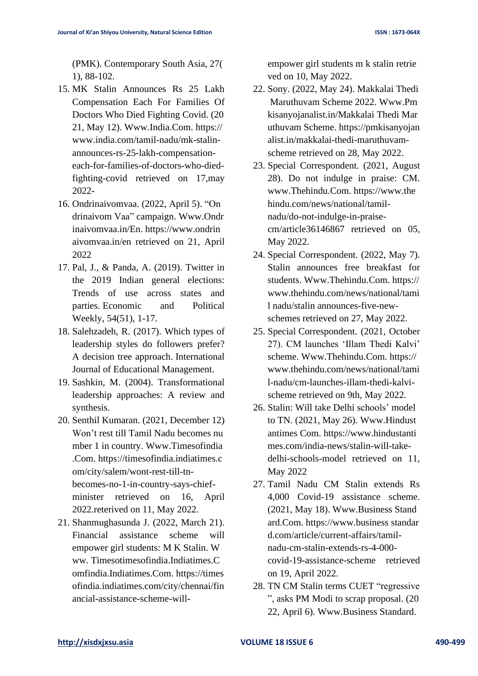(PMK). Contemporary South Asia, 27( 1), 88-102.

- 15. MK Stalin Announces Rs 25 Lakh Compensation Each For Families Of Doctors Who Died Fighting Covid. (20 21, May 12). [Www.India.Com.](http://www.india.com/) [https://](https://www.india.com/tamil-nadu/mk-stalin-announces-rs-25-lakh-compensation-each-for-families-of-doctors-who-died-fighting-covid%20retrieved%20on%2017,may%202022-) [www.india.com/tamil-nadu/mk-stalin](https://www.india.com/tamil-nadu/mk-stalin-announces-rs-25-lakh-compensation-each-for-families-of-doctors-who-died-fighting-covid%20retrieved%20on%2017,may%202022-)[announces-rs-25-lakh-compensation](https://www.india.com/tamil-nadu/mk-stalin-announces-rs-25-lakh-compensation-each-for-families-of-doctors-who-died-fighting-covid%20retrieved%20on%2017,may%202022-)[each-for-families-of-doctors-who-died](https://www.india.com/tamil-nadu/mk-stalin-announces-rs-25-lakh-compensation-each-for-families-of-doctors-who-died-fighting-covid%20retrieved%20on%2017,may%202022-)[fighting-covid retrieved on 17,may](https://www.india.com/tamil-nadu/mk-stalin-announces-rs-25-lakh-compensation-each-for-families-of-doctors-who-died-fighting-covid%20retrieved%20on%2017,may%202022-)  [2022-](https://www.india.com/tamil-nadu/mk-stalin-announces-rs-25-lakh-compensation-each-for-families-of-doctors-who-died-fighting-covid%20retrieved%20on%2017,may%202022-)
- 16. Ondrinaivomvaa. (2022, April 5). "On drinaivom Vaa" campaign. [Www.Ondr](http://www.ondrinaivomvaa.in/En) [inaivomvaa.in/En.](http://www.ondrinaivomvaa.in/En) [https://www.ondrin](https://www.ondrinaivomvaa.in/en%20retrieved%20on%2021) [aivomvaa.in/en retrieved on 21,](https://www.ondrinaivomvaa.in/en%20retrieved%20on%2021) April 2022
- 17. Pal, J., & Panda, A. (2019). Twitter in the 2019 Indian general elections: Trends of use across states and parties. Economic and Political Weekly, 54(51), 1-17.
- 18. Salehzadeh, R. (2017). Which types of leadership styles do followers prefer? A decision tree approach. International Journal of Educational Management.
- 19. Sashkin, M. (2004). Transformational leadership approaches: A review and synthesis.
- 20. Senthil Kumaran. (2021, December 12) Won't rest till Tamil Nadu becomes nu mber 1 in country. [Www.Timesofindia](http://www.timesofindia.com/) [.Com.](http://www.timesofindia.com/) [https://timesofindia.indiatimes.c](https://timesofindia.indiatimes.com/city/salem/wont-rest-till-tn-becomes-no-1-in-country-says-chief-minister%20reterieved%20on%2016) [om/city/salem/wont-rest-till-tn](https://timesofindia.indiatimes.com/city/salem/wont-rest-till-tn-becomes-no-1-in-country-says-chief-minister%20reterieved%20on%2016)[becomes-no-1-in-country-says-chief](https://timesofindia.indiatimes.com/city/salem/wont-rest-till-tn-becomes-no-1-in-country-says-chief-minister%20reterieved%20on%2016)[minister retrieved on 16,](https://timesofindia.indiatimes.com/city/salem/wont-rest-till-tn-becomes-no-1-in-country-says-chief-minister%20reterieved%20on%2016) April 2022.reterived on 11, May 2022.
- 21. Shanmughasunda J. (2022, March 21). Financial assistance scheme will empower girl students: M K Stalin. W ww. Timesotimesofindia.Indiatimes.C omfindia.Indiatimes.Com. [https://times](https://timesofindia.indiatimes.com/city/chennai/financial-assistance-scheme-will-empower girl students m k stalin retrieved%20on%2010) [ofindia.indiatimes.com/city/chennai/fin](https://timesofindia.indiatimes.com/city/chennai/financial-assistance-scheme-will-empower girl students m k stalin retrieved%20on%2010) [ancial-assistance-scheme-will-](https://timesofindia.indiatimes.com/city/chennai/financial-assistance-scheme-will-empower girl students m k stalin retrieved%20on%2010)

[empower](https://timesofindia.indiatimes.com/city/chennai/financial-assistance-scheme-will-empower girl students m k stalin retrieved%20on%2010) girl students m k stalin retrie [ved on 10,](https://timesofindia.indiatimes.com/city/chennai/financial-assistance-scheme-will-empower girl students m k stalin retrieved%20on%2010) May 2022.

- 22. Sony. (2022, May 24). Makkalai Thedi Maruthuvam Scheme 2022. [Www.Pm](http://www.pmkisanyojanalist.in/Makkalai Thedi Maruthuvam Scheme) [kisanyojanalist.in/Makkalai](http://www.pmkisanyojanalist.in/Makkalai Thedi Maruthuvam Scheme) Thedi Mar [uthuvam](http://www.pmkisanyojanalist.in/Makkalai Thedi Maruthuvam Scheme) Scheme. [https://pmkisanyojan](https://pmkisanyojanalist.in/makkalai-thedi-maruthuvam-scheme) [alist.in/makkalai-thedi-maruthuvam](https://pmkisanyojanalist.in/makkalai-thedi-maruthuvam-scheme)[scheme](https://pmkisanyojanalist.in/makkalai-thedi-maruthuvam-scheme) retrieved on 28, May 2022.
- 23. Special Correspondent. (2021, August 28). Do not indulge in praise: CM. [www.Thehindu.Com.](http://www.thehindu.com/) [https://www.the](https://www.thehindu.com/news/national/tamil-nadu/do-not-indulge-in-praise-cm/article36146867%20reterived%20on%2005) [hindu.com/news/national/tamil](https://www.thehindu.com/news/national/tamil-nadu/do-not-indulge-in-praise-cm/article36146867%20reterived%20on%2005)[nadu/do-not-indulge-in-praise](https://www.thehindu.com/news/national/tamil-nadu/do-not-indulge-in-praise-cm/article36146867%20reterived%20on%2005)[cm/article36146867 retrieved on 05,](https://www.thehindu.com/news/national/tamil-nadu/do-not-indulge-in-praise-cm/article36146867%20reterived%20on%2005) May 2022.
- 24. Special Correspondent. (2022, May 7). Stalin announces free breakfast for students. [Www.Thehindu.Com.](http://www.thehindu.com/) [https://](https://www.thehindu.com/news/national/tamil nadu/stalin announces-five-new-schemes) [www.thehindu.com/news/national/tami](https://www.thehindu.com/news/national/tamil nadu/stalin announces-five-new-schemes) l nadu/stalin [announces-five-new](https://www.thehindu.com/news/national/tamil nadu/stalin announces-five-new-schemes)[schemes](https://www.thehindu.com/news/national/tamil nadu/stalin announces-five-new-schemes) retrieved on 27, May 2022.
- 25. Special Correspondent. (2021, October 27). CM launches 'Illam Thedi Kalvi' scheme. [Www.Thehindu.Com.](http://www.thehindu.com/) [https://](https://www.thehindu.com/news/national/tamil-nadu/cm-launches-illam-thedi-kalvi-scheme) [www.thehindu.com/news/national/tami](https://www.thehindu.com/news/national/tamil-nadu/cm-launches-illam-thedi-kalvi-scheme) [l-nadu/cm-launches-illam-thedi-kalvi](https://www.thehindu.com/news/national/tamil-nadu/cm-launches-illam-thedi-kalvi-scheme)[scheme](https://www.thehindu.com/news/national/tamil-nadu/cm-launches-illam-thedi-kalvi-scheme) retrieved on 9th, May 2022.
- 26. Stalin: Will take Delhi schools' model to TN. (2021, May 26). [Www.Hindust](http://Www.Hindustantimes Com) [antimes](http://Www.Hindustantimes Com) Com. [https://www.hindustanti](https://www.hindustantimes.com/india-news/stalin-will-take-delhi-schools-model%20reterieved%20on%2011) [mes.com/india-news/stalin-will-take](https://www.hindustantimes.com/india-news/stalin-will-take-delhi-schools-model%20reterieved%20on%2011)[delhi-schools-model retrieved on 11,](https://www.hindustantimes.com/india-news/stalin-will-take-delhi-schools-model%20reterieved%20on%2011) May 2022
- 27. Tamil Nadu CM Stalin extends Rs 4,000 Covid-19 assistance scheme. (2021, May 18). [Www.Business](http://Www.Business Standard.Com) Stand [ard.Com.](http://Www.Business Standard.Com) [https://www.business](https://www.business standard.com/article/current-affairs/tamil-nadu-cm-stalin-extends-rs-4-000-covid-19-assistance-scheme) standar [d.com/article/current-affairs/tamil](https://www.business standard.com/article/current-affairs/tamil-nadu-cm-stalin-extends-rs-4-000-covid-19-assistance-scheme)[nadu-cm-stalin-extends-rs-4-000](https://www.business standard.com/article/current-affairs/tamil-nadu-cm-stalin-extends-rs-4-000-covid-19-assistance-scheme) [covid-19-assistance-scheme](https://www.business standard.com/article/current-affairs/tamil-nadu-cm-stalin-extends-rs-4-000-covid-19-assistance-scheme) retrieved on 19, April 2022.
- 28. TN CM Stalin terms CUET "regressive ", asks PM Modi to scrap proposal. (20 22, April 6). [Www.Business](http://Www.Business Standard.Com) Standard.